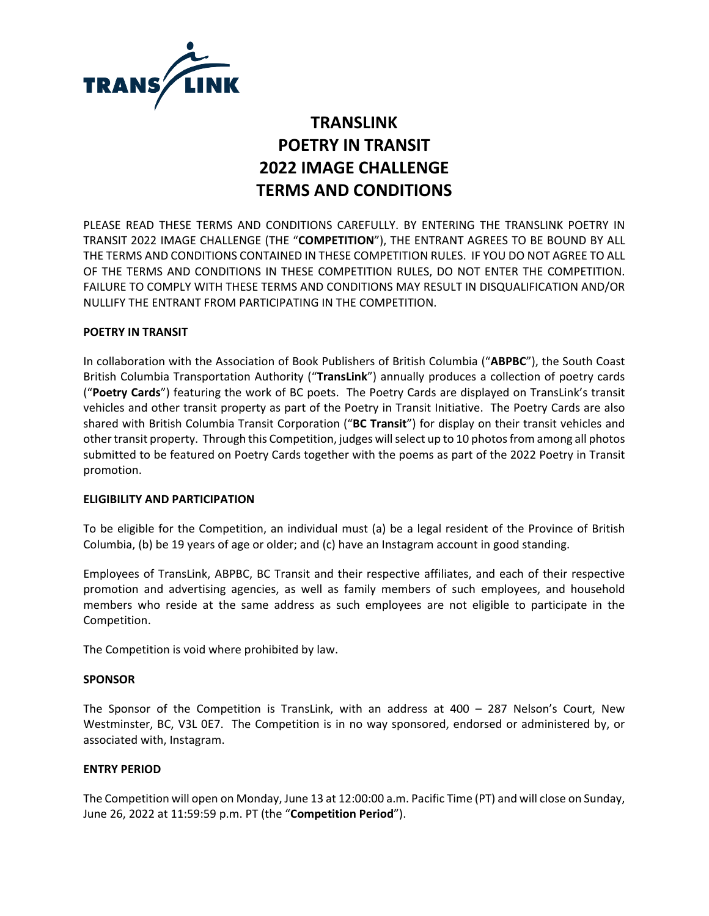

# **TRANSLINK POETRY IN TRANSIT 2022 IMAGE CHALLENGE TERMS AND CONDITIONS**

PLEASE READ THESE TERMS AND CONDITIONS CAREFULLY. BY ENTERING THE TRANSLINK POETRY IN TRANSIT 2022 IMAGE CHALLENGE (THE "**COMPETITION**"), THE ENTRANT AGREES TO BE BOUND BY ALL THE TERMS AND CONDITIONS CONTAINED IN THESE COMPETITION RULES. IF YOU DO NOT AGREE TO ALL OF THE TERMS AND CONDITIONS IN THESE COMPETITION RULES, DO NOT ENTER THE COMPETITION. FAILURE TO COMPLY WITH THESE TERMS AND CONDITIONS MAY RESULT IN DISQUALIFICATION AND/OR NULLIFY THE ENTRANT FROM PARTICIPATING IN THE COMPETITION.

## **POETRY IN TRANSIT**

In collaboration with the Association of Book Publishers of British Columbia ("**ABPBC**"), the South Coast British Columbia Transportation Authority ("**TransLink**") annually produces a collection of poetry cards ("**Poetry Cards**") featuring the work of BC poets. The Poetry Cards are displayed on TransLink's transit vehicles and other transit property as part of the Poetry in Transit Initiative. The Poetry Cards are also shared with British Columbia Transit Corporation ("**BC Transit**") for display on their transit vehicles and other transit property. Through this Competition, judges will select up to 10 photos from among all photos submitted to be featured on Poetry Cards together with the poems as part of the 2022 Poetry in Transit promotion.

## **ELIGIBILITY AND PARTICIPATION**

To be eligible for the Competition, an individual must (a) be a legal resident of the Province of British Columbia, (b) be 19 years of age or older; and (c) have an Instagram account in good standing.

Employees of TransLink, ABPBC, BC Transit and their respective affiliates, and each of their respective promotion and advertising agencies, as well as family members of such employees, and household members who reside at the same address as such employees are not eligible to participate in the Competition.

The Competition is void where prohibited by law.

## **SPONSOR**

The Sponsor of the Competition is TransLink, with an address at 400 – 287 Nelson's Court, New Westminster, BC, V3L 0E7. The Competition is in no way sponsored, endorsed or administered by, or associated with, Instagram.

## **ENTRY PERIOD**

The Competition will open on Monday, June 13 at 12:00:00 a.m. Pacific Time (PT) and will close on Sunday, June 26, 2022 at 11:59:59 p.m. PT (the "**Competition Period**").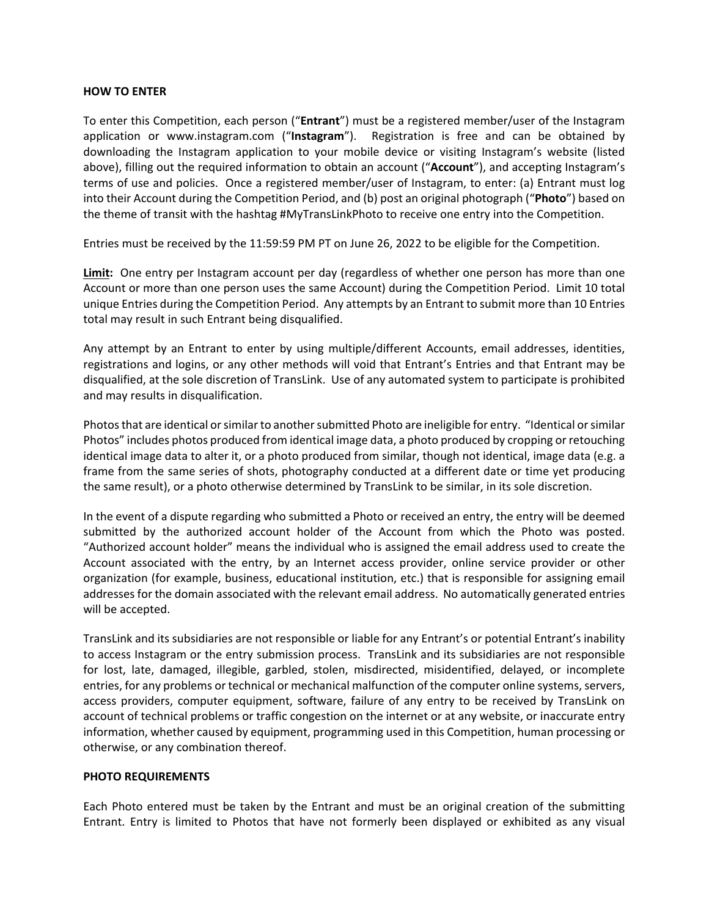## **HOW TO ENTER**

To enter this Competition, each person ("**Entrant**") must be a registered member/user of the Instagram application or www.instagram.com ("**Instagram**"). Registration is free and can be obtained by downloading the Instagram application to your mobile device or visiting Instagram's website (listed above), filling out the required information to obtain an account ("**Account**"), and accepting Instagram's terms of use and policies. Once a registered member/user of Instagram, to enter: (a) Entrant must log into their Account during the Competition Period, and (b) post an original photograph ("**Photo**") based on the theme of transit with the hashtag #MyTransLinkPhoto to receive one entry into the Competition.

Entries must be received by the 11:59:59 PM PT on June 26, 2022 to be eligible for the Competition.

**Limit:** One entry per Instagram account per day (regardless of whether one person has more than one Account or more than one person uses the same Account) during the Competition Period. Limit 10 total unique Entries during the Competition Period. Any attempts by an Entrant to submit more than 10 Entries total may result in such Entrant being disqualified.

Any attempt by an Entrant to enter by using multiple/different Accounts, email addresses, identities, registrations and logins, or any other methods will void that Entrant's Entries and that Entrant may be disqualified, at the sole discretion of TransLink. Use of any automated system to participate is prohibited and may results in disqualification.

Photos that are identical or similar to another submitted Photo are ineligible for entry. "Identical or similar Photos" includes photos produced from identical image data, a photo produced by cropping or retouching identical image data to alter it, or a photo produced from similar, though not identical, image data (e.g. a frame from the same series of shots, photography conducted at a different date or time yet producing the same result), or a photo otherwise determined by TransLink to be similar, in its sole discretion.

In the event of a dispute regarding who submitted a Photo or received an entry, the entry will be deemed submitted by the authorized account holder of the Account from which the Photo was posted. "Authorized account holder" means the individual who is assigned the email address used to create the Account associated with the entry, by an Internet access provider, online service provider or other organization (for example, business, educational institution, etc.) that is responsible for assigning email addresses for the domain associated with the relevant email address. No automatically generated entries will be accepted.

TransLink and its subsidiaries are not responsible or liable for any Entrant's or potential Entrant's inability to access Instagram or the entry submission process. TransLink and its subsidiaries are not responsible for lost, late, damaged, illegible, garbled, stolen, misdirected, misidentified, delayed, or incomplete entries, for any problems or technical or mechanical malfunction of the computer online systems, servers, access providers, computer equipment, software, failure of any entry to be received by TransLink on account of technical problems or traffic congestion on the internet or at any website, or inaccurate entry information, whether caused by equipment, programming used in this Competition, human processing or otherwise, or any combination thereof.

## **PHOTO REQUIREMENTS**

Each Photo entered must be taken by the Entrant and must be an original creation of the submitting Entrant. Entry is limited to Photos that have not formerly been displayed or exhibited as any visual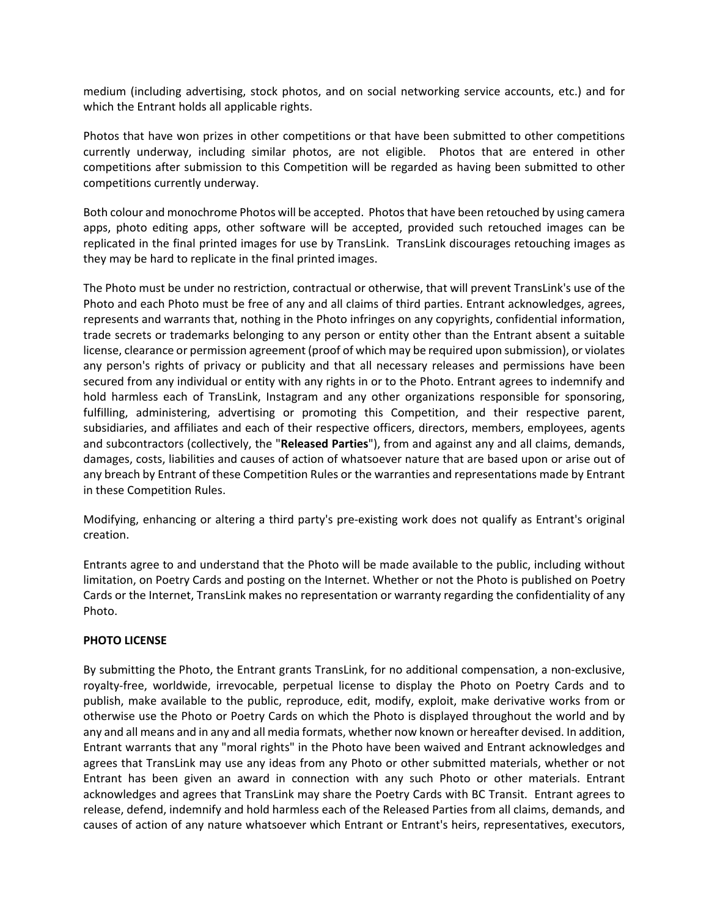medium (including advertising, stock photos, and on social networking service accounts, etc.) and for which the Entrant holds all applicable rights.

Photos that have won prizes in other competitions or that have been submitted to other competitions currently underway, including similar photos, are not eligible. Photos that are entered in other competitions after submission to this Competition will be regarded as having been submitted to other competitions currently underway.

Both colour and monochrome Photos will be accepted. Photos that have been retouched by using camera apps, photo editing apps, other software will be accepted, provided such retouched images can be replicated in the final printed images for use by TransLink. TransLink discourages retouching images as they may be hard to replicate in the final printed images.

The Photo must be under no restriction, contractual or otherwise, that will prevent TransLink's use of the Photo and each Photo must be free of any and all claims of third parties. Entrant acknowledges, agrees, represents and warrants that, nothing in the Photo infringes on any copyrights, confidential information, trade secrets or trademarks belonging to any person or entity other than the Entrant absent a suitable license, clearance or permission agreement (proof of which may be required upon submission), or violates any person's rights of privacy or publicity and that all necessary releases and permissions have been secured from any individual or entity with any rights in or to the Photo. Entrant agrees to indemnify and hold harmless each of TransLink, Instagram and any other organizations responsible for sponsoring, fulfilling, administering, advertising or promoting this Competition, and their respective parent, subsidiaries, and affiliates and each of their respective officers, directors, members, employees, agents and subcontractors (collectively, the "**Released Parties**"), from and against any and all claims, demands, damages, costs, liabilities and causes of action of whatsoever nature that are based upon or arise out of any breach by Entrant of these Competition Rules or the warranties and representations made by Entrant in these Competition Rules.

Modifying, enhancing or altering a third party's pre-existing work does not qualify as Entrant's original creation.

Entrants agree to and understand that the Photo will be made available to the public, including without limitation, on Poetry Cards and posting on the Internet. Whether or not the Photo is published on Poetry Cards or the Internet, TransLink makes no representation or warranty regarding the confidentiality of any Photo.

# **PHOTO LICENSE**

By submitting the Photo, the Entrant grants TransLink, for no additional compensation, a non-exclusive, royalty-free, worldwide, irrevocable, perpetual license to display the Photo on Poetry Cards and to publish, make available to the public, reproduce, edit, modify, exploit, make derivative works from or otherwise use the Photo or Poetry Cards on which the Photo is displayed throughout the world and by any and all means and in any and all media formats, whether now known or hereafter devised. In addition, Entrant warrants that any "moral rights" in the Photo have been waived and Entrant acknowledges and agrees that TransLink may use any ideas from any Photo or other submitted materials, whether or not Entrant has been given an award in connection with any such Photo or other materials. Entrant acknowledges and agrees that TransLink may share the Poetry Cards with BC Transit. Entrant agrees to release, defend, indemnify and hold harmless each of the Released Parties from all claims, demands, and causes of action of any nature whatsoever which Entrant or Entrant's heirs, representatives, executors,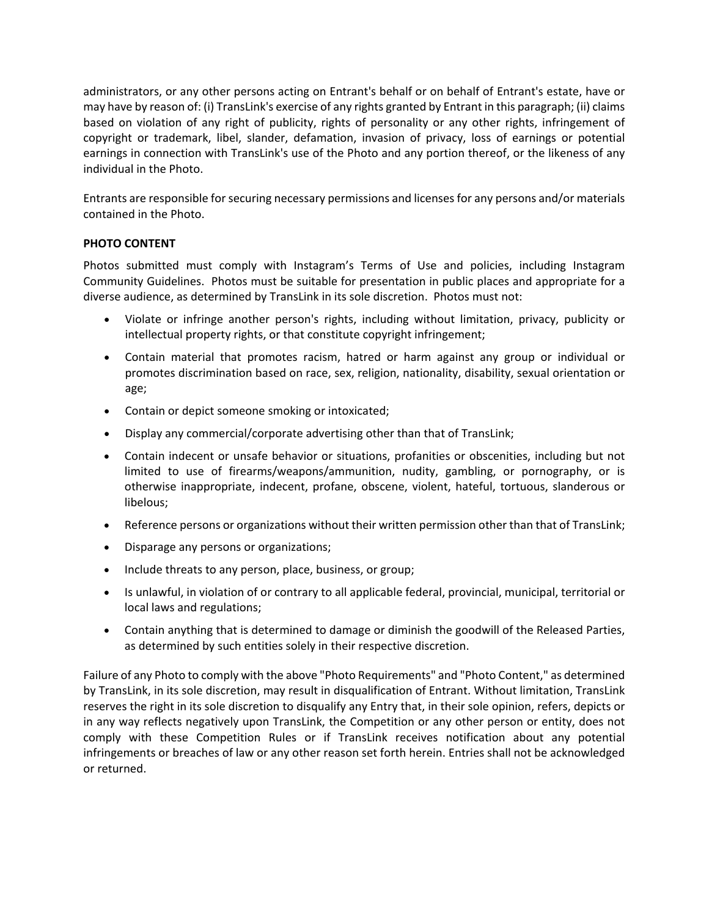administrators, or any other persons acting on Entrant's behalf or on behalf of Entrant's estate, have or may have by reason of: (i) TransLink's exercise of any rights granted by Entrant in this paragraph; (ii) claims based on violation of any right of publicity, rights of personality or any other rights, infringement of copyright or trademark, libel, slander, defamation, invasion of privacy, loss of earnings or potential earnings in connection with TransLink's use of the Photo and any portion thereof, or the likeness of any individual in the Photo.

Entrants are responsible for securing necessary permissions and licenses for any persons and/or materials contained in the Photo.

# **PHOTO CONTENT**

Photos submitted must comply with Instagram's Terms of Use and policies, including Instagram Community Guidelines. Photos must be suitable for presentation in public places and appropriate for a diverse audience, as determined by TransLink in its sole discretion. Photos must not:

- Violate or infringe another person's rights, including without limitation, privacy, publicity or intellectual property rights, or that constitute copyright infringement;
- Contain material that promotes racism, hatred or harm against any group or individual or promotes discrimination based on race, sex, religion, nationality, disability, sexual orientation or age;
- Contain or depict someone smoking or intoxicated;
- Display any commercial/corporate advertising other than that of TransLink;
- Contain indecent or unsafe behavior or situations, profanities or obscenities, including but not limited to use of firearms/weapons/ammunition, nudity, gambling, or pornography, or is otherwise inappropriate, indecent, profane, obscene, violent, hateful, tortuous, slanderous or libelous;
- Reference persons or organizations without their written permission other than that of TransLink;
- Disparage any persons or organizations;
- Include threats to any person, place, business, or group;
- Is unlawful, in violation of or contrary to all applicable federal, provincial, municipal, territorial or local laws and regulations;
- Contain anything that is determined to damage or diminish the goodwill of the Released Parties, as determined by such entities solely in their respective discretion.

Failure of any Photo to comply with the above "Photo Requirements" and "Photo Content," as determined by TransLink, in its sole discretion, may result in disqualification of Entrant. Without limitation, TransLink reserves the right in its sole discretion to disqualify any Entry that, in their sole opinion, refers, depicts or in any way reflects negatively upon TransLink, the Competition or any other person or entity, does not comply with these Competition Rules or if TransLink receives notification about any potential infringements or breaches of law or any other reason set forth herein. Entries shall not be acknowledged or returned.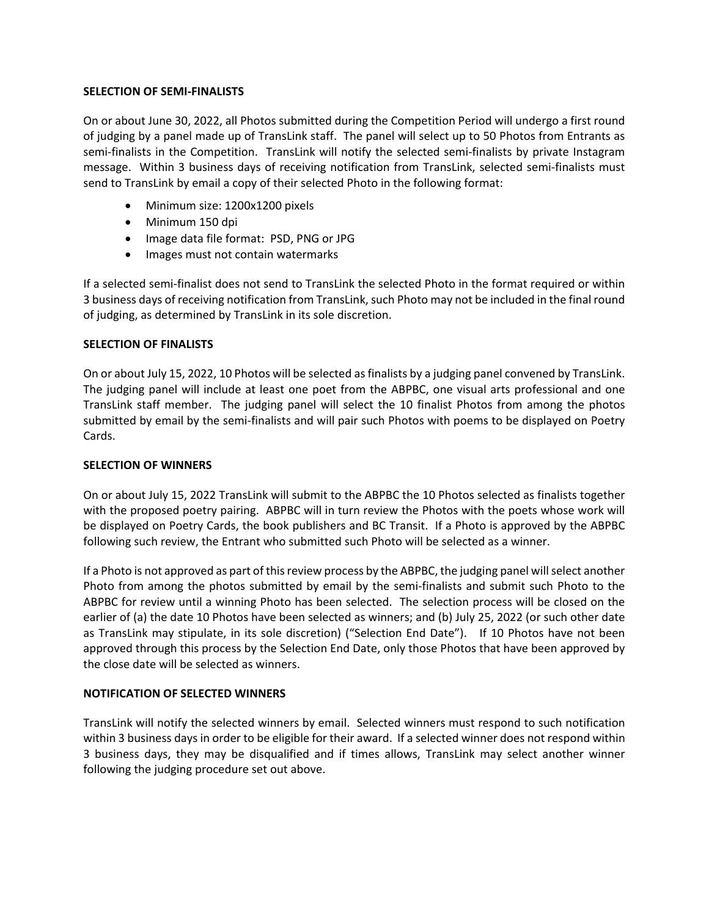## **SELECTION OF SEMI-FINALISTS**

On or about June 30, 2022, all Photos submitted during the Competition Period will undergo a first round of judging by a panel made up of TransLink staff. The panel will select up to 50 Photos from Entrants as semi-finalists in the Competition. TransLink will notify the selected semi-finalists by private Instagram message. Within 3 business days of receiving notification from TransLink, selected semi-finalists must send to TransLink by email a copy of their selected Photo in the following format:

- Minimum size: 1200x1200 pixels
- Minimum 150 dpi
- Image data file format: PSD, PNG or JPG
- Images must not contain watermarks

If a selected semi-finalist does not send to TransLink the selected Photo in the format required or within 3 business days of receiving notification from TransLink, such Photo may not be included in the final round of judging, as determined by TransLink in its sole discretion.

## **SELECTION OF FINALISTS**

On or about July 15, 2022, 10 Photos will be selected as finalists by a judging panel convened by TransLink. The judging panel will include at least one poet from the ABPBC, one visual arts professional and one TransLink staff member. The judging panel will select the 10 finalist Photos from among the photos submitted by email by the semi-finalists and will pair such Photos with poems to be displayed on Poetry Cards.

## **SELECTION OF WINNERS**

On or about July 15, 2022 TransLink will submit to the ABPBC the 10 Photos selected as finalists together with the proposed poetry pairing. ABPBC will in turn review the Photos with the poets whose work will be displayed on Poetry Cards, the book publishers and BC Transit. If a Photo is approved by the ABPBC following such review, the Entrant who submitted such Photo will be selected as a winner.

If a Photo is not approved as part of this review process by the ABPBC, the judging panel will select another Photo from among the photos submitted by email by the semi-finalists and submit such Photo to the ABPBC for review until a winning Photo has been selected. The selection process will be closed on the earlier of (a) the date 10 Photos have been selected as winners; and (b) July 25, 2022 (or such other date as TransLink may stipulate, in its sole discretion) ("Selection End Date"). If 10 Photos have not been approved through this process by the Selection End Date, only those Photos that have been approved by the close date will be selected as winners.

# **NOTIFICATION OF SELECTED WINNERS**

TransLink will notify the selected winners by email. Selected winners must respond to such notification within 3 business days in order to be eligible for their award. If a selected winner does not respond within 3 business days, they may be disqualified and if times allows, TransLink may select another winner following the judging procedure set out above.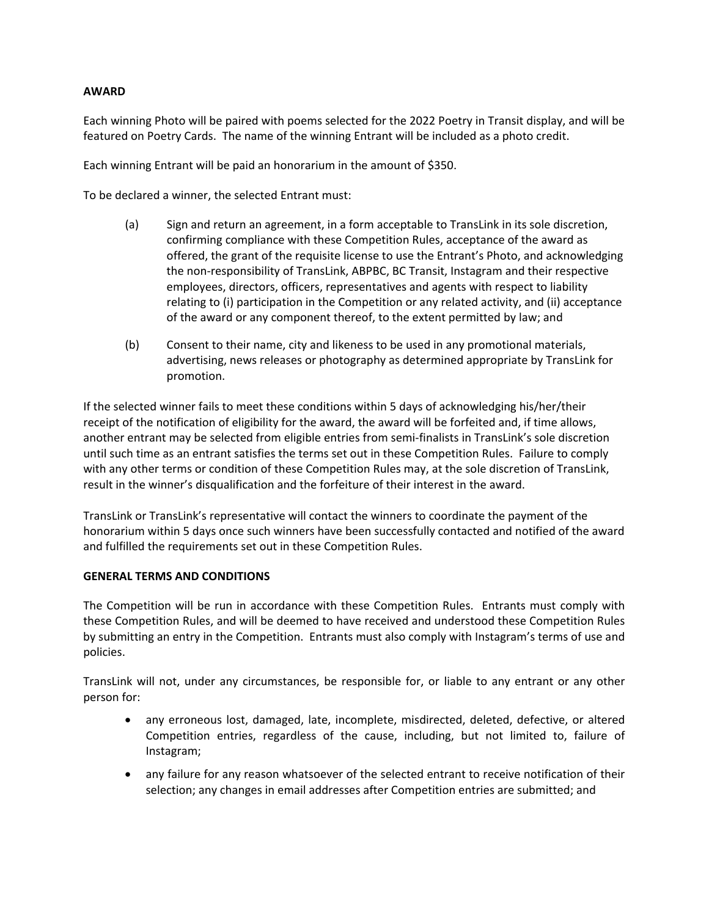# **AWARD**

Each winning Photo will be paired with poems selected for the 2022 Poetry in Transit display, and will be featured on Poetry Cards. The name of the winning Entrant will be included as a photo credit.

Each winning Entrant will be paid an honorarium in the amount of \$350.

To be declared a winner, the selected Entrant must:

- (a) Sign and return an agreement, in a form acceptable to TransLink in its sole discretion, confirming compliance with these Competition Rules, acceptance of the award as offered, the grant of the requisite license to use the Entrant's Photo, and acknowledging the non-responsibility of TransLink, ABPBC, BC Transit, Instagram and their respective employees, directors, officers, representatives and agents with respect to liability relating to (i) participation in the Competition or any related activity, and (ii) acceptance of the award or any component thereof, to the extent permitted by law; and
- (b) Consent to their name, city and likeness to be used in any promotional materials, advertising, news releases or photography as determined appropriate by TransLink for promotion.

If the selected winner fails to meet these conditions within 5 days of acknowledging his/her/their receipt of the notification of eligibility for the award, the award will be forfeited and, if time allows, another entrant may be selected from eligible entries from semi-finalists in TransLink's sole discretion until such time as an entrant satisfies the terms set out in these Competition Rules. Failure to comply with any other terms or condition of these Competition Rules may, at the sole discretion of TransLink, result in the winner's disqualification and the forfeiture of their interest in the award.

TransLink or TransLink's representative will contact the winners to coordinate the payment of the honorarium within 5 days once such winners have been successfully contacted and notified of the award and fulfilled the requirements set out in these Competition Rules.

# **GENERAL TERMS AND CONDITIONS**

The Competition will be run in accordance with these Competition Rules. Entrants must comply with these Competition Rules, and will be deemed to have received and understood these Competition Rules by submitting an entry in the Competition. Entrants must also comply with Instagram's terms of use and policies.

TransLink will not, under any circumstances, be responsible for, or liable to any entrant or any other person for:

- any erroneous lost, damaged, late, incomplete, misdirected, deleted, defective, or altered Competition entries, regardless of the cause, including, but not limited to, failure of Instagram;
- any failure for any reason whatsoever of the selected entrant to receive notification of their selection; any changes in email addresses after Competition entries are submitted; and